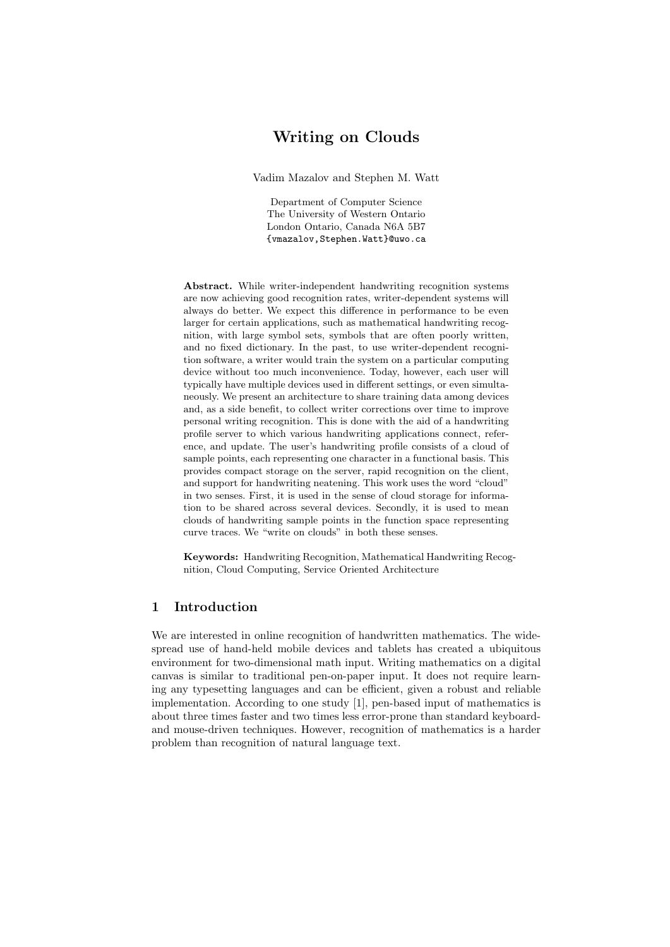# Writing on Clouds

Vadim Mazalov and Stephen M. Watt

Department of Computer Science The University of Western Ontario London Ontario, Canada N6A 5B7 {vmazalov,Stephen.Watt}@uwo.ca

Abstract. While writer-independent handwriting recognition systems are now achieving good recognition rates, writer-dependent systems will always do better. We expect this difference in performance to be even larger for certain applications, such as mathematical handwriting recognition, with large symbol sets, symbols that are often poorly written, and no fixed dictionary. In the past, to use writer-dependent recognition software, a writer would train the system on a particular computing device without too much inconvenience. Today, however, each user will typically have multiple devices used in different settings, or even simultaneously. We present an architecture to share training data among devices and, as a side benefit, to collect writer corrections over time to improve personal writing recognition. This is done with the aid of a handwriting profile server to which various handwriting applications connect, reference, and update. The user's handwriting profile consists of a cloud of sample points, each representing one character in a functional basis. This provides compact storage on the server, rapid recognition on the client, and support for handwriting neatening. This work uses the word "cloud" in two senses. First, it is used in the sense of cloud storage for information to be shared across several devices. Secondly, it is used to mean clouds of handwriting sample points in the function space representing curve traces. We "write on clouds" in both these senses.

Keywords: Handwriting Recognition, Mathematical Handwriting Recognition, Cloud Computing, Service Oriented Architecture

# 1 Introduction

We are interested in online recognition of handwritten mathematics. The widespread use of hand-held mobile devices and tablets has created a ubiquitous environment for two-dimensional math input. Writing mathematics on a digital canvas is similar to traditional pen-on-paper input. It does not require learning any typesetting languages and can be efficient, given a robust and reliable implementation. According to one study [1], pen-based input of mathematics is about three times faster and two times less error-prone than standard keyboardand mouse-driven techniques. However, recognition of mathematics is a harder problem than recognition of natural language text.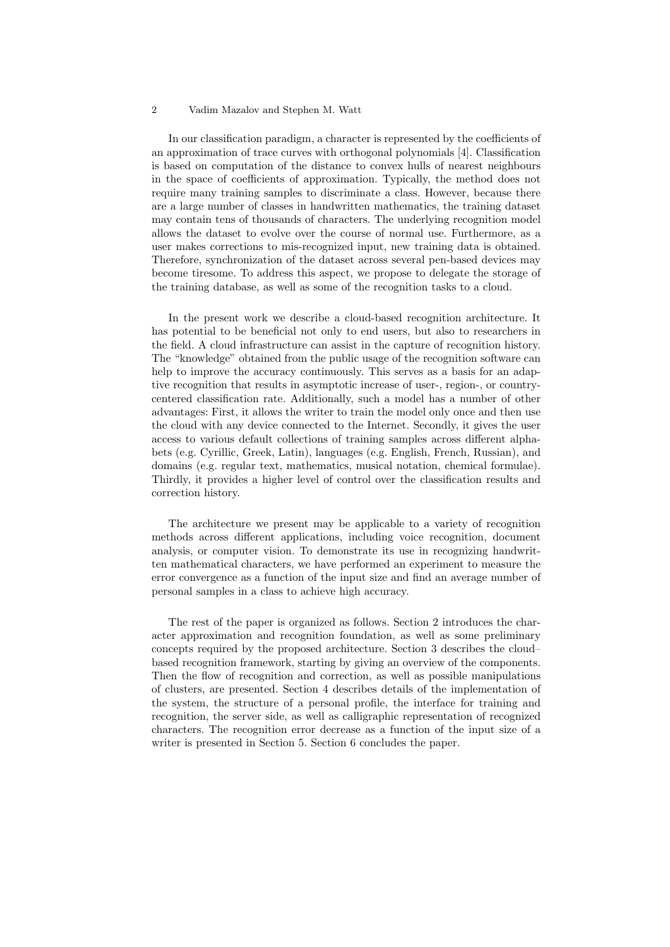In our classification paradigm, a character is represented by the coefficients of an approximation of trace curves with orthogonal polynomials [4]. Classification is based on computation of the distance to convex hulls of nearest neighbours in the space of coefficients of approximation. Typically, the method does not require many training samples to discriminate a class. However, because there are a large number of classes in handwritten mathematics, the training dataset may contain tens of thousands of characters. The underlying recognition model allows the dataset to evolve over the course of normal use. Furthermore, as a user makes corrections to mis-recognized input, new training data is obtained. Therefore, synchronization of the dataset across several pen-based devices may become tiresome. To address this aspect, we propose to delegate the storage of the training database, as well as some of the recognition tasks to a cloud.

In the present work we describe a cloud-based recognition architecture. It has potential to be beneficial not only to end users, but also to researchers in the field. A cloud infrastructure can assist in the capture of recognition history. The "knowledge" obtained from the public usage of the recognition software can help to improve the accuracy continuously. This serves as a basis for an adaptive recognition that results in asymptotic increase of user-, region-, or countrycentered classification rate. Additionally, such a model has a number of other advantages: First, it allows the writer to train the model only once and then use the cloud with any device connected to the Internet. Secondly, it gives the user access to various default collections of training samples across different alphabets (e.g. Cyrillic, Greek, Latin), languages (e.g. English, French, Russian), and domains (e.g. regular text, mathematics, musical notation, chemical formulae). Thirdly, it provides a higher level of control over the classification results and correction history.

The architecture we present may be applicable to a variety of recognition methods across different applications, including voice recognition, document analysis, or computer vision. To demonstrate its use in recognizing handwritten mathematical characters, we have performed an experiment to measure the error convergence as a function of the input size and find an average number of personal samples in a class to achieve high accuracy.

The rest of the paper is organized as follows. Section 2 introduces the character approximation and recognition foundation, as well as some preliminary concepts required by the proposed architecture. Section 3 describes the cloud– based recognition framework, starting by giving an overview of the components. Then the flow of recognition and correction, as well as possible manipulations of clusters, are presented. Section 4 describes details of the implementation of the system, the structure of a personal profile, the interface for training and recognition, the server side, as well as calligraphic representation of recognized characters. The recognition error decrease as a function of the input size of a writer is presented in Section 5. Section 6 concludes the paper.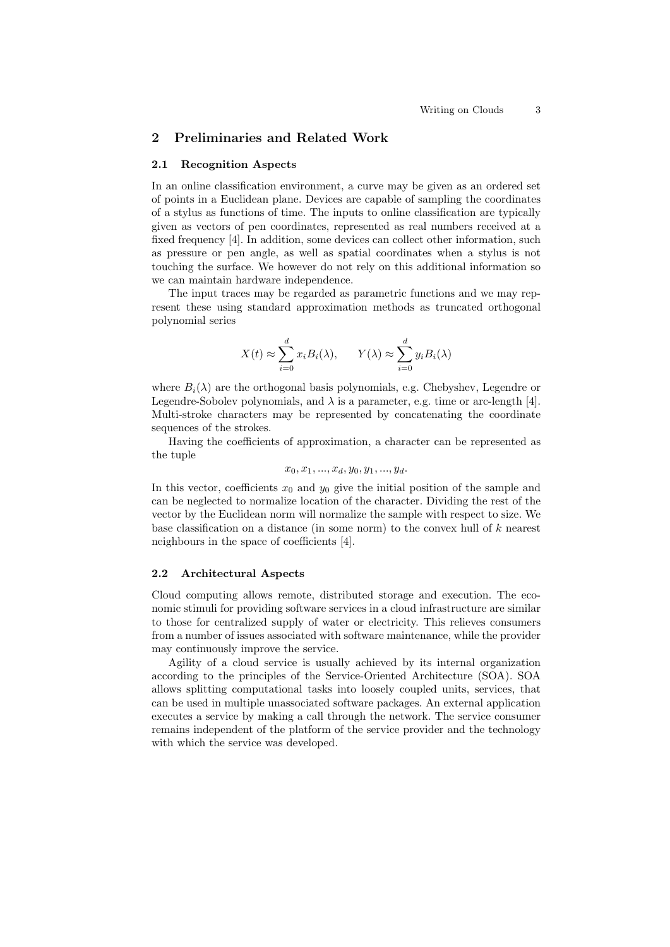## 2 Preliminaries and Related Work

### 2.1 Recognition Aspects

In an online classification environment, a curve may be given as an ordered set of points in a Euclidean plane. Devices are capable of sampling the coordinates of a stylus as functions of time. The inputs to online classification are typically given as vectors of pen coordinates, represented as real numbers received at a fixed frequency [4]. In addition, some devices can collect other information, such as pressure or pen angle, as well as spatial coordinates when a stylus is not touching the surface. We however do not rely on this additional information so we can maintain hardware independence.

The input traces may be regarded as parametric functions and we may represent these using standard approximation methods as truncated orthogonal polynomial series

$$
X(t) \approx \sum_{i=0}^{d} x_i B_i(\lambda), \qquad Y(\lambda) \approx \sum_{i=0}^{d} y_i B_i(\lambda)
$$

where  $B_i(\lambda)$  are the orthogonal basis polynomials, e.g. Chebyshev, Legendre or Legendre-Sobolev polynomials, and  $\lambda$  is a parameter, e.g. time or arc-length [4]. Multi-stroke characters may be represented by concatenating the coordinate sequences of the strokes.

Having the coefficients of approximation, a character can be represented as the tuple

$$
x_0, x_1, ..., x_d, y_0, y_1, ..., y_d.
$$

In this vector, coefficients  $x_0$  and  $y_0$  give the initial position of the sample and can be neglected to normalize location of the character. Dividing the rest of the vector by the Euclidean norm will normalize the sample with respect to size. We base classification on a distance (in some norm) to the convex hull of  $k$  nearest neighbours in the space of coefficients [4].

### 2.2 Architectural Aspects

Cloud computing allows remote, distributed storage and execution. The economic stimuli for providing software services in a cloud infrastructure are similar to those for centralized supply of water or electricity. This relieves consumers from a number of issues associated with software maintenance, while the provider may continuously improve the service.

Agility of a cloud service is usually achieved by its internal organization according to the principles of the Service-Oriented Architecture (SOA). SOA allows splitting computational tasks into loosely coupled units, services, that can be used in multiple unassociated software packages. An external application executes a service by making a call through the network. The service consumer remains independent of the platform of the service provider and the technology with which the service was developed.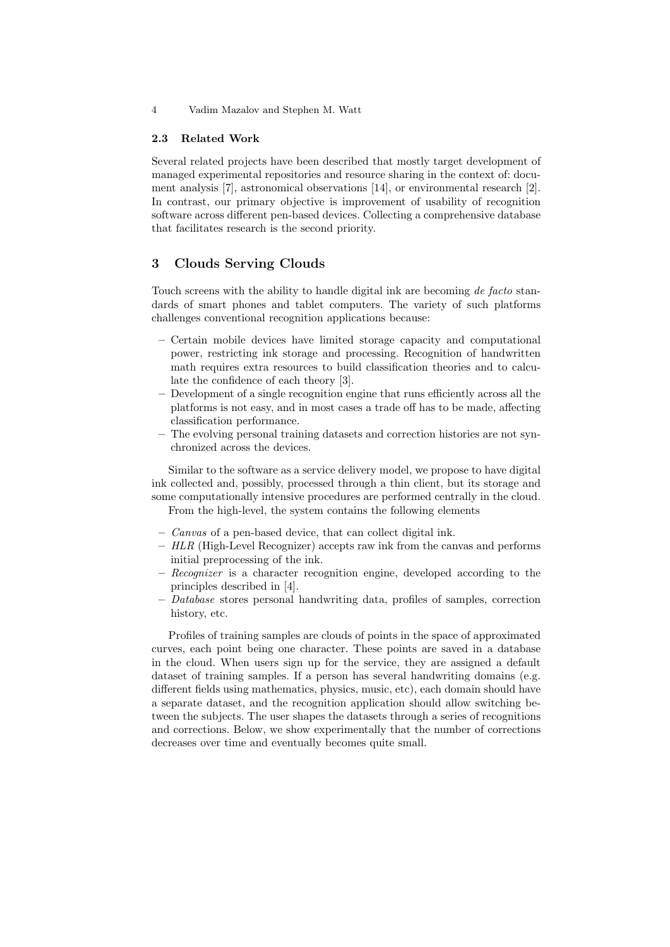#### 2.3 Related Work

Several related projects have been described that mostly target development of managed experimental repositories and resource sharing in the context of: document analysis [7], astronomical observations [14], or environmental research [2]. In contrast, our primary objective is improvement of usability of recognition software across different pen-based devices. Collecting a comprehensive database that facilitates research is the second priority.

# 3 Clouds Serving Clouds

Touch screens with the ability to handle digital ink are becoming de facto standards of smart phones and tablet computers. The variety of such platforms challenges conventional recognition applications because:

- Certain mobile devices have limited storage capacity and computational power, restricting ink storage and processing. Recognition of handwritten math requires extra resources to build classification theories and to calculate the confidence of each theory [3].
- Development of a single recognition engine that runs efficiently across all the platforms is not easy, and in most cases a trade off has to be made, affecting classification performance.
- The evolving personal training datasets and correction histories are not synchronized across the devices.

Similar to the software as a service delivery model, we propose to have digital ink collected and, possibly, processed through a thin client, but its storage and some computationally intensive procedures are performed centrally in the cloud. From the high-level, the system contains the following elements

- Canvas of a pen-based device, that can collect digital ink.
- $HLR$  (High-Level Recognizer) accepts raw ink from the canvas and performs initial preprocessing of the ink.
- $-$  Recognizer is a character recognition engine, developed according to the principles described in [4].
- $-$  *Database* stores personal handwriting data, profiles of samples, correction history, etc.

Profiles of training samples are clouds of points in the space of approximated curves, each point being one character. These points are saved in a database in the cloud. When users sign up for the service, they are assigned a default dataset of training samples. If a person has several handwriting domains (e.g. different fields using mathematics, physics, music, etc), each domain should have a separate dataset, and the recognition application should allow switching between the subjects. The user shapes the datasets through a series of recognitions and corrections. Below, we show experimentally that the number of corrections decreases over time and eventually becomes quite small.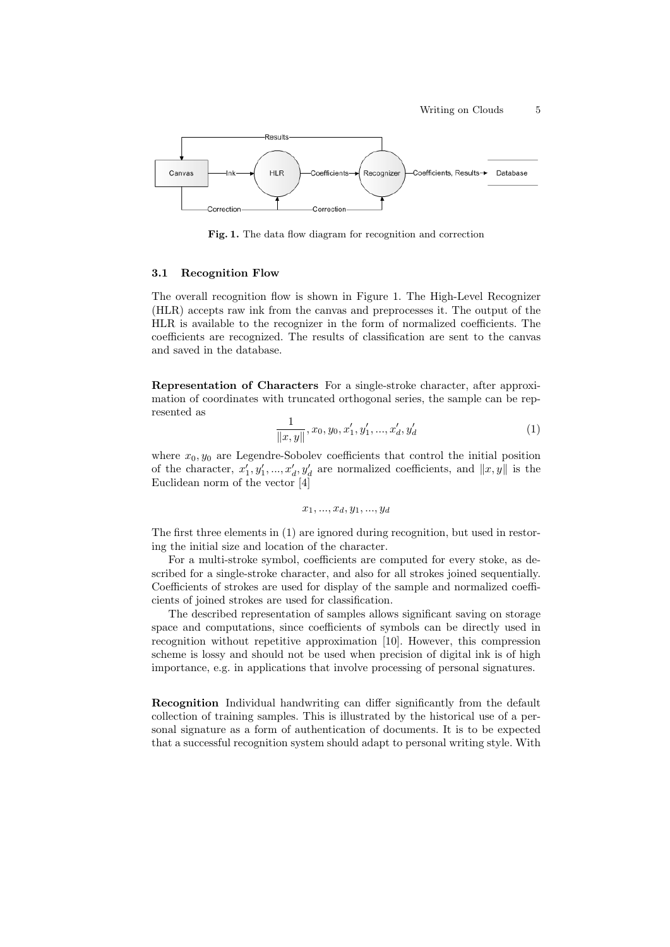

Fig. 1. The data flow diagram for recognition and correction

#### 3.1 Recognition Flow

The overall recognition flow is shown in Figure 1. The High-Level Recognizer (HLR) accepts raw ink from the canvas and preprocesses it. The output of the HLR is available to the recognizer in the form of normalized coefficients. The coefficients are recognized. The results of classification are sent to the canvas and saved in the database.

Representation of Characters For a single-stroke character, after approximation of coordinates with truncated orthogonal series, the sample can be represented as

$$
\frac{1}{\|x,y\|}, x_0, y_0, x_1', y_1', \dots, x_d', y_d'
$$
 (1)

where  $x_0, y_0$  are Legendre-Sobolev coefficients that control the initial position of the character,  $x'_1, y'_1, ..., x'_d, y'_d$  are normalized coefficients, and  $||x, y||$  is the Euclidean norm of the vector [4]

 $x_1, ..., x_d, y_1, ..., y_d$ 

The first three elements in (1) are ignored during recognition, but used in restoring the initial size and location of the character.

For a multi-stroke symbol, coefficients are computed for every stoke, as described for a single-stroke character, and also for all strokes joined sequentially. Coefficients of strokes are used for display of the sample and normalized coefficients of joined strokes are used for classification.

The described representation of samples allows significant saving on storage space and computations, since coefficients of symbols can be directly used in recognition without repetitive approximation [10]. However, this compression scheme is lossy and should not be used when precision of digital ink is of high importance, e.g. in applications that involve processing of personal signatures.

Recognition Individual handwriting can differ significantly from the default collection of training samples. This is illustrated by the historical use of a personal signature as a form of authentication of documents. It is to be expected that a successful recognition system should adapt to personal writing style. With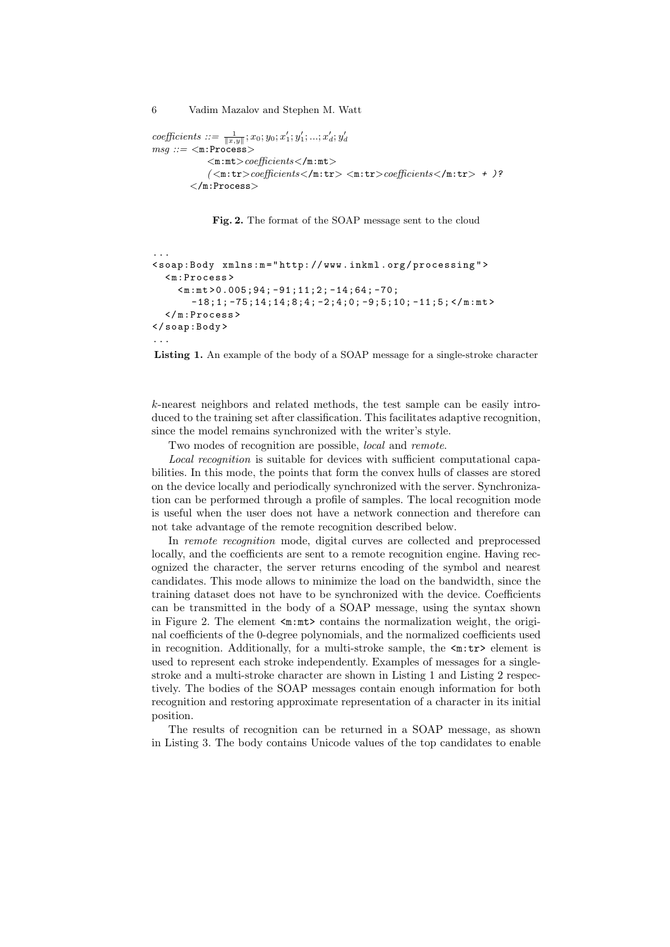```
coefficients ::= \frac{1}{\|x,y\|}; x_0; y_0; x_1'; y_1'; ..., x_d'; y_d'msa ::= \leq m: Process\langle m{:}mt\ranglecoefficients\langle/m{:}mt\rangle\langle \langle m:tr \rangle coefficients\langle \langle m:tr \rangle \langle \langle m:tr \rangle \langle \langle m:tr \rangle + \rangle?
              </m:Process>
```


```
...
< soap:Body xmlns:m = " http: // www . inkml . org / processing " >
  \langle m: Process \rangle\langle m:mt \rangle 0.005; 94; -91; 11; 2; -14; 64; -70;-18;1; -75;14;14;8;4; -2;4;0; -9;5;10; -11;5; </m:mt>
  </ m:Process >
</ soap:Body >
...
```
Listing 1. An example of the body of a SOAP message for a single-stroke character

k-nearest neighbors and related methods, the test sample can be easily introduced to the training set after classification. This facilitates adaptive recognition, since the model remains synchronized with the writer's style.

Two modes of recognition are possible, local and remote.

Local recognition is suitable for devices with sufficient computational capabilities. In this mode, the points that form the convex hulls of classes are stored on the device locally and periodically synchronized with the server. Synchronization can be performed through a profile of samples. The local recognition mode is useful when the user does not have a network connection and therefore can not take advantage of the remote recognition described below.

In remote recognition mode, digital curves are collected and preprocessed locally, and the coefficients are sent to a remote recognition engine. Having recognized the character, the server returns encoding of the symbol and nearest candidates. This mode allows to minimize the load on the bandwidth, since the training dataset does not have to be synchronized with the device. Coefficients can be transmitted in the body of a SOAP message, using the syntax shown in Figure 2. The element  $\langle m:m \rangle$  contains the normalization weight, the original coefficients of the 0-degree polynomials, and the normalized coefficients used in recognition. Additionally, for a multi-stroke sample, the  $\langle m:tr \rangle$  element is used to represent each stroke independently. Examples of messages for a singlestroke and a multi-stroke character are shown in Listing 1 and Listing 2 respectively. The bodies of the SOAP messages contain enough information for both recognition and restoring approximate representation of a character in its initial position.

The results of recognition can be returned in a SOAP message, as shown in Listing 3. The body contains Unicode values of the top candidates to enable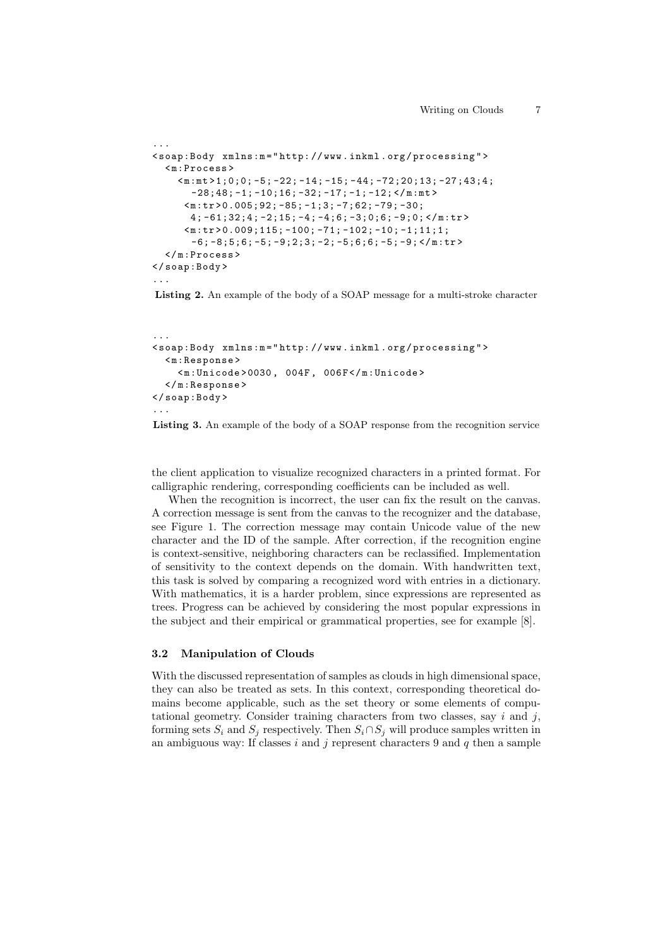```
...
< soap:Body xmlns:m = " http: // www . inkml . org / processing " >
  \langle m: Process \rangle\langle m:mt>1;0;0;-5;-22;-14;-15;-44;-72;20;13;-27;43;4;-28:48:-1:-10:16:-32:-17:-1:-12;</m:mt>
      \langle m:tr \rangle 0.005; 92; -85; -1; 3; -7; 62; -79; -30;4; -61; 32; 4; -2; 15; -4; -4; 6; -3; 0; 6; -9; 0; \angle/m; \text{tr}\langle m:tr \rangle 0.009; 115; -100; -71; -102; -10; -1; 11; 1;-6; -8; 5; 6; -5; -9; 2; 3; -2; -5; 6; 6; -5; -9; \lt /m:tr>
  </ m:Process >
</ soap:Body >
...
```
Listing 2. An example of the body of a SOAP message for a multi-stroke character

```
...
< soap:Body xmlns:m = " http: // www . inkml . org / processing " >
  <sub>m</sub>:Response></sub>
     \langle m: Unicode > 0030, 004F, 006F\langle m: Unicode >
   </ m:Response >
</ soap:Body >
...
```
Listing 3. An example of the body of a SOAP response from the recognition service

the client application to visualize recognized characters in a printed format. For calligraphic rendering, corresponding coefficients can be included as well.

When the recognition is incorrect, the user can fix the result on the canvas. A correction message is sent from the canvas to the recognizer and the database, see Figure 1. The correction message may contain Unicode value of the new character and the ID of the sample. After correction, if the recognition engine is context-sensitive, neighboring characters can be reclassified. Implementation of sensitivity to the context depends on the domain. With handwritten text, this task is solved by comparing a recognized word with entries in a dictionary. With mathematics, it is a harder problem, since expressions are represented as trees. Progress can be achieved by considering the most popular expressions in the subject and their empirical or grammatical properties, see for example [8].

#### 3.2 Manipulation of Clouds

With the discussed representation of samples as clouds in high dimensional space, they can also be treated as sets. In this context, corresponding theoretical domains become applicable, such as the set theory or some elements of computational geometry. Consider training characters from two classes, say  $i$  and  $j$ , forming sets  $S_i$  and  $S_j$  respectively. Then  $S_i \cap S_j$  will produce samples written in an ambiguous way: If classes  $i$  and  $j$  represent characters 9 and  $q$  then a sample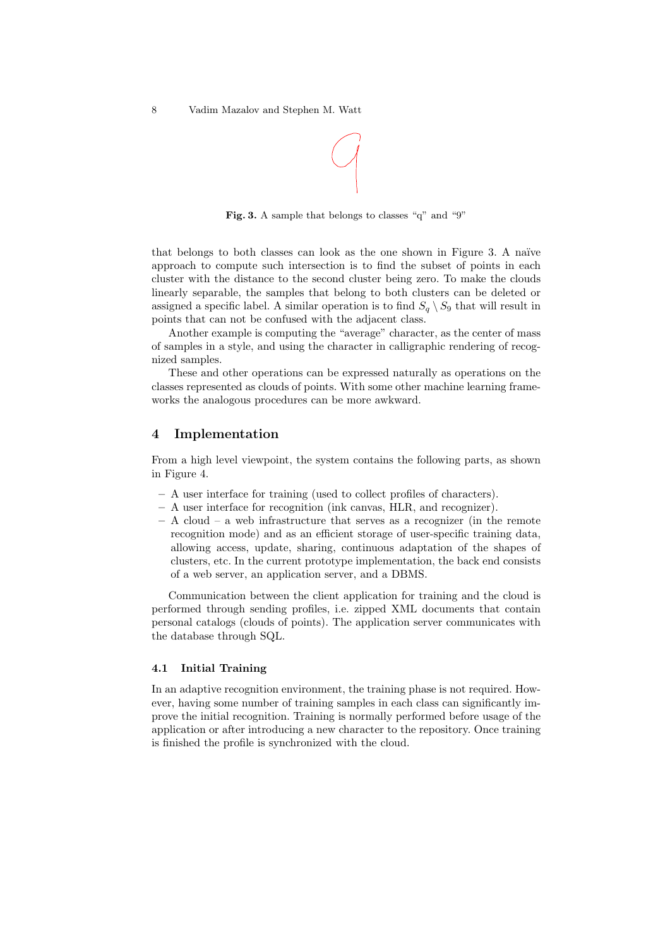

Fig. 3. A sample that belongs to classes "q" and "9"

that belongs to both classes can look as the one shown in Figure 3. A naïve approach to compute such intersection is to find the subset of points in each cluster with the distance to the second cluster being zero. To make the clouds linearly separable, the samples that belong to both clusters can be deleted or assigned a specific label. A similar operation is to find  $S_q \setminus S_9$  that will result in points that can not be confused with the adjacent class.

Another example is computing the "average" character, as the center of mass of samples in a style, and using the character in calligraphic rendering of recognized samples.

These and other operations can be expressed naturally as operations on the classes represented as clouds of points. With some other machine learning frameworks the analogous procedures can be more awkward.

### 4 Implementation

From a high level viewpoint, the system contains the following parts, as shown in Figure 4.

- A user interface for training (used to collect profiles of characters).
- A user interface for recognition (ink canvas, HLR, and recognizer).
- A cloud a web infrastructure that serves as a recognizer (in the remote recognition mode) and as an efficient storage of user-specific training data, allowing access, update, sharing, continuous adaptation of the shapes of clusters, etc. In the current prototype implementation, the back end consists of a web server, an application server, and a DBMS.

Communication between the client application for training and the cloud is performed through sending profiles, i.e. zipped XML documents that contain personal catalogs (clouds of points). The application server communicates with the database through SQL.

### 4.1 Initial Training

In an adaptive recognition environment, the training phase is not required. However, having some number of training samples in each class can significantly improve the initial recognition. Training is normally performed before usage of the application or after introducing a new character to the repository. Once training is finished the profile is synchronized with the cloud.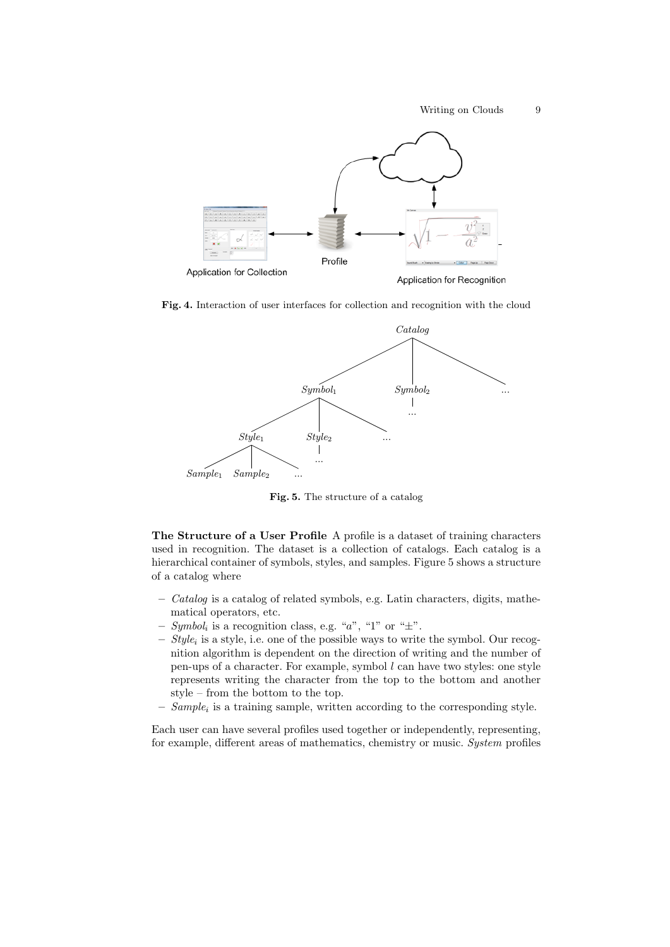



Fig. 5. The structure of a catalog

The Structure of a User Profile A profile is a dataset of training characters used in recognition. The dataset is a collection of catalogs. Each catalog is a hierarchical container of symbols, styles, and samples. Figure 5 shows a structure of a catalog where

- $-$  Catalog is a catalog of related symbols, e.g. Latin characters, digits, mathematical operators, etc.
- $Symbol_i$  is a recognition class, e.g. "a", "1" or " $\pm$ ".
- $-$  Style<sub>i</sub> is a style, i.e. one of the possible ways to write the symbol. Our recognition algorithm is dependent on the direction of writing and the number of pen-ups of a character. For example, symbol  $l$  can have two styles: one style represents writing the character from the top to the bottom and another style – from the bottom to the top.
- $-$  Sample<sub>i</sub> is a training sample, written according to the corresponding style.

Each user can have several profiles used together or independently, representing, for example, different areas of mathematics, chemistry or music. System profiles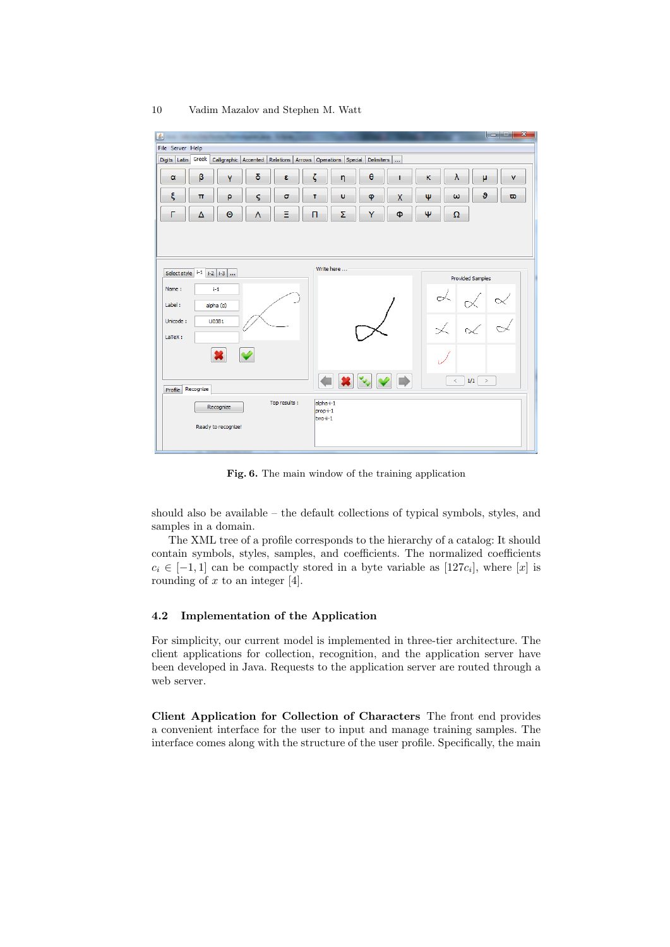

Fig. 6. The main window of the training application

should also be available – the default collections of typical symbols, styles, and samples in a domain.

The XML tree of a profile corresponds to the hierarchy of a catalog: It should contain symbols, styles, samples, and coefficients. The normalized coefficients  $c_i \in [-1,1]$  can be compactly stored in a byte variable as  $[127c_i]$ , where  $[x]$  is rounding of  $x$  to an integer [4].

# 4.2 Implementation of the Application

For simplicity, our current model is implemented in three-tier architecture. The client applications for collection, recognition, and the application server have been developed in Java. Requests to the application server are routed through a web server.

Client Application for Collection of Characters The front end provides a convenient interface for the user to input and manage training samples. The interface comes along with the structure of the user profile. Specifically, the main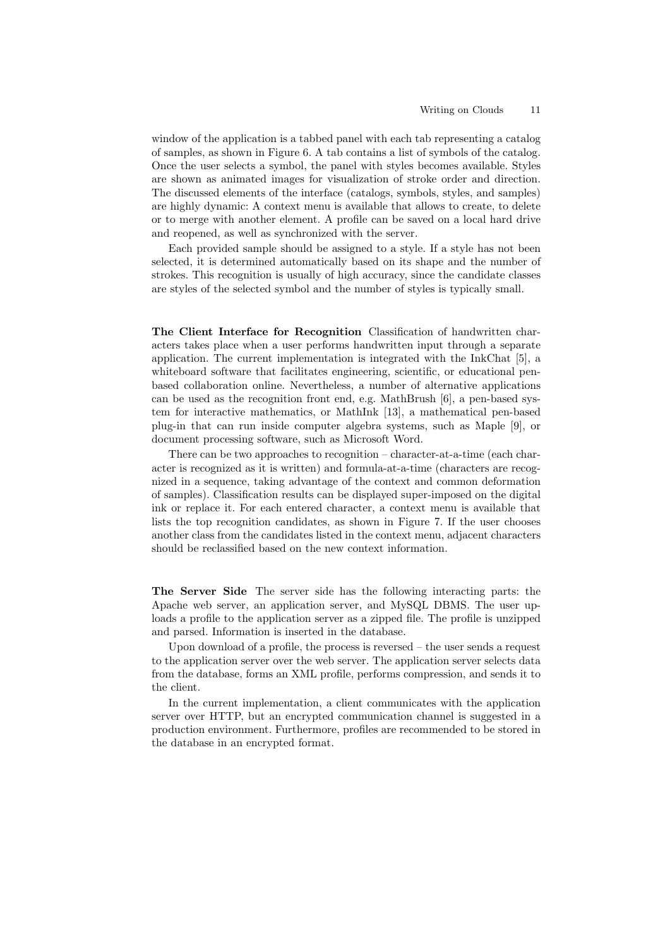window of the application is a tabbed panel with each tab representing a catalog of samples, as shown in Figure 6. A tab contains a list of symbols of the catalog. Once the user selects a symbol, the panel with styles becomes available. Styles are shown as animated images for visualization of stroke order and direction. The discussed elements of the interface (catalogs, symbols, styles, and samples) are highly dynamic: A context menu is available that allows to create, to delete or to merge with another element. A profile can be saved on a local hard drive and reopened, as well as synchronized with the server.

Each provided sample should be assigned to a style. If a style has not been selected, it is determined automatically based on its shape and the number of strokes. This recognition is usually of high accuracy, since the candidate classes are styles of the selected symbol and the number of styles is typically small.

The Client Interface for Recognition Classification of handwritten characters takes place when a user performs handwritten input through a separate application. The current implementation is integrated with the InkChat [5], a whiteboard software that facilitates engineering, scientific, or educational penbased collaboration online. Nevertheless, a number of alternative applications can be used as the recognition front end, e.g. MathBrush [6], a pen-based system for interactive mathematics, or MathInk [13], a mathematical pen-based plug-in that can run inside computer algebra systems, such as Maple [9], or document processing software, such as Microsoft Word.

There can be two approaches to recognition – character-at-a-time (each character is recognized as it is written) and formula-at-a-time (characters are recognized in a sequence, taking advantage of the context and common deformation of samples). Classification results can be displayed super-imposed on the digital ink or replace it. For each entered character, a context menu is available that lists the top recognition candidates, as shown in Figure 7. If the user chooses another class from the candidates listed in the context menu, adjacent characters should be reclassified based on the new context information.

The Server Side The server side has the following interacting parts: the Apache web server, an application server, and MySQL DBMS. The user uploads a profile to the application server as a zipped file. The profile is unzipped and parsed. Information is inserted in the database.

Upon download of a profile, the process is reversed – the user sends a request to the application server over the web server. The application server selects data from the database, forms an XML profile, performs compression, and sends it to the client.

In the current implementation, a client communicates with the application server over HTTP, but an encrypted communication channel is suggested in a production environment. Furthermore, profiles are recommended to be stored in the database in an encrypted format.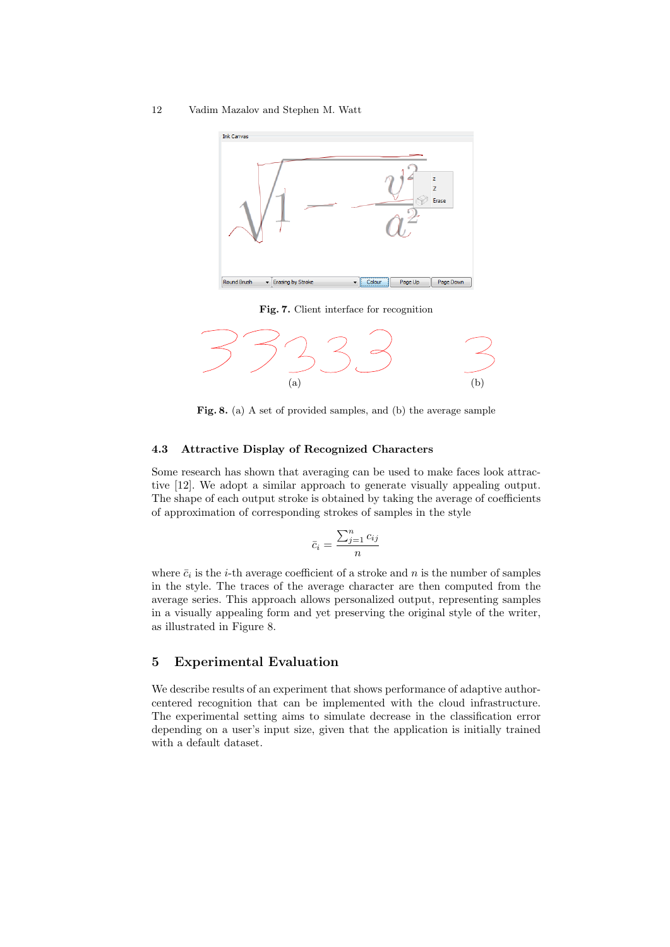

Fig. 7. Client interface for recognition



Fig. 8. (a) A set of provided samples, and (b) the average sample

### 4.3 Attractive Display of Recognized Characters

Some research has shown that averaging can be used to make faces look attractive [12]. We adopt a similar approach to generate visually appealing output. The shape of each output stroke is obtained by taking the average of coefficients of approximation of corresponding strokes of samples in the style

$$
\bar{c}_i = \frac{\sum_{j=1}^n c_{ij}}{n}
$$

where  $\bar{c}_i$  is the *i*-th average coefficient of a stroke and *n* is the number of samples in the style. The traces of the average character are then computed from the average series. This approach allows personalized output, representing samples in a visually appealing form and yet preserving the original style of the writer, as illustrated in Figure 8.

# 5 Experimental Evaluation

We describe results of an experiment that shows performance of adaptive authorcentered recognition that can be implemented with the cloud infrastructure. The experimental setting aims to simulate decrease in the classification error depending on a user's input size, given that the application is initially trained with a default dataset.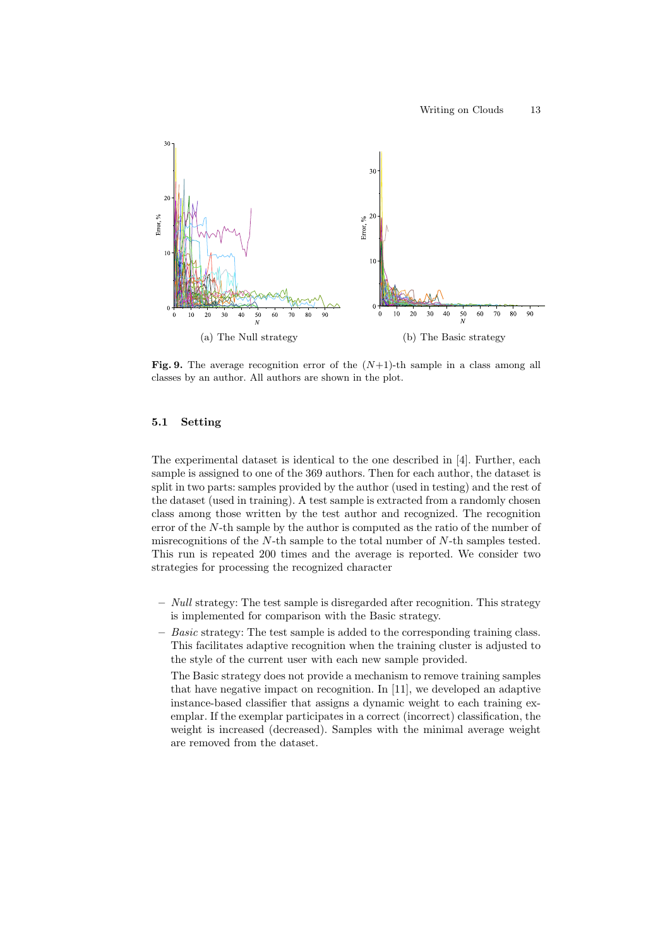

Fig. 9. The average recognition error of the  $(N+1)$ -th sample in a class among all classes by an author. All authors are shown in the plot.

### 5.1 Setting

The experimental dataset is identical to the one described in [4]. Further, each sample is assigned to one of the 369 authors. Then for each author, the dataset is split in two parts: samples provided by the author (used in testing) and the rest of the dataset (used in training). A test sample is extracted from a randomly chosen class among those written by the test author and recognized. The recognition error of the N-th sample by the author is computed as the ratio of the number of misrecognitions of the N-th sample to the total number of N-th samples tested. This run is repeated 200 times and the average is reported. We consider two strategies for processing the recognized character

- $-$  Null strategy: The test sample is disregarded after recognition. This strategy is implemented for comparison with the Basic strategy.
- $-$  Basic strategy: The test sample is added to the corresponding training class. This facilitates adaptive recognition when the training cluster is adjusted to the style of the current user with each new sample provided.

The Basic strategy does not provide a mechanism to remove training samples that have negative impact on recognition. In [11], we developed an adaptive instance-based classifier that assigns a dynamic weight to each training exemplar. If the exemplar participates in a correct (incorrect) classification, the weight is increased (decreased). Samples with the minimal average weight are removed from the dataset.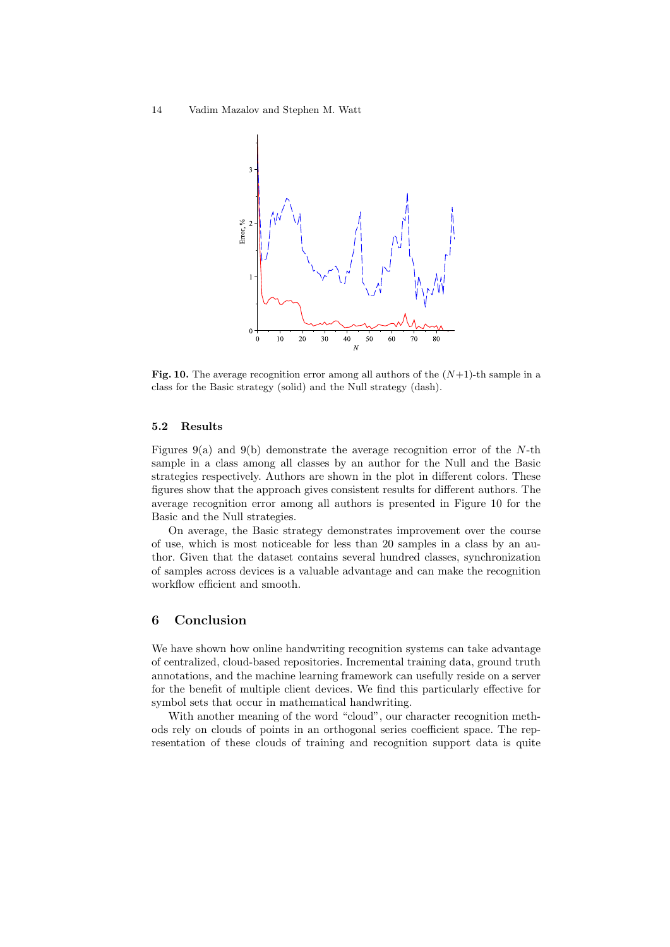

Fig. 10. The average recognition error among all authors of the  $(N+1)$ -th sample in a class for the Basic strategy (solid) and the Null strategy (dash).

### 5.2 Results

Figures 9(a) and 9(b) demonstrate the average recognition error of the  $N$ -th sample in a class among all classes by an author for the Null and the Basic strategies respectively. Authors are shown in the plot in different colors. These figures show that the approach gives consistent results for different authors. The average recognition error among all authors is presented in Figure 10 for the Basic and the Null strategies.

On average, the Basic strategy demonstrates improvement over the course of use, which is most noticeable for less than 20 samples in a class by an author. Given that the dataset contains several hundred classes, synchronization of samples across devices is a valuable advantage and can make the recognition workflow efficient and smooth.

# 6 Conclusion

We have shown how online handwriting recognition systems can take advantage of centralized, cloud-based repositories. Incremental training data, ground truth annotations, and the machine learning framework can usefully reside on a server for the benefit of multiple client devices. We find this particularly effective for symbol sets that occur in mathematical handwriting.

With another meaning of the word "cloud", our character recognition methods rely on clouds of points in an orthogonal series coefficient space. The representation of these clouds of training and recognition support data is quite